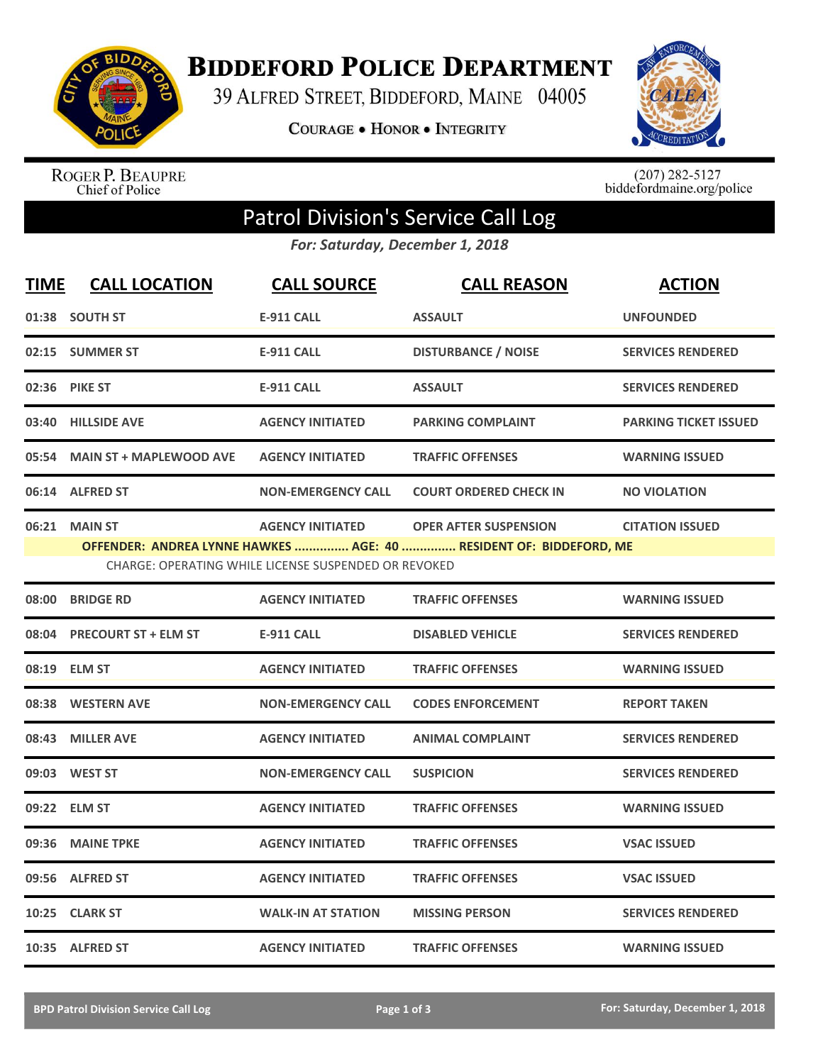

**BIDDEFORD POLICE DEPARTMENT** 

39 ALFRED STREET, BIDDEFORD, MAINE 04005

**COURAGE . HONOR . INTEGRITY** 



ROGER P. BEAUPRE<br>Chief of Police

 $(207)$  282-5127<br>biddefordmaine.org/police

## Patrol Division's Service Call Log

*For: Saturday, December 1, 2018*

| <b>TIME</b>                                                                                                                                                                                                                      | <b>CALL LOCATION</b>          | <b>CALL SOURCE</b>        | <b>CALL REASON</b>            | <b>ACTION</b>                |  |
|----------------------------------------------------------------------------------------------------------------------------------------------------------------------------------------------------------------------------------|-------------------------------|---------------------------|-------------------------------|------------------------------|--|
|                                                                                                                                                                                                                                  | 01:38 SOUTH ST                | <b>E-911 CALL</b>         | <b>ASSAULT</b>                | <b>UNFOUNDED</b>             |  |
|                                                                                                                                                                                                                                  | 02:15 SUMMER ST               | <b>E-911 CALL</b>         | <b>DISTURBANCE / NOISE</b>    | <b>SERVICES RENDERED</b>     |  |
|                                                                                                                                                                                                                                  | 02:36 PIKE ST                 | <b>E-911 CALL</b>         | <b>ASSAULT</b>                | <b>SERVICES RENDERED</b>     |  |
| 03:40                                                                                                                                                                                                                            | <b>HILLSIDE AVE</b>           | <b>AGENCY INITIATED</b>   | <b>PARKING COMPLAINT</b>      | <b>PARKING TICKET ISSUED</b> |  |
|                                                                                                                                                                                                                                  | 05:54 MAIN ST + MAPLEWOOD AVE | <b>AGENCY INITIATED</b>   | <b>TRAFFIC OFFENSES</b>       | <b>WARNING ISSUED</b>        |  |
|                                                                                                                                                                                                                                  | 06:14 ALFRED ST               | <b>NON-EMERGENCY CALL</b> | <b>COURT ORDERED CHECK IN</b> | <b>NO VIOLATION</b>          |  |
| 06:21 MAIN ST<br><b>AGENCY INITIATED</b><br><b>OPER AFTER SUSPENSION</b><br><b>CITATION ISSUED</b><br>OFFENDER: ANDREA LYNNE HAWKES  AGE: 40  RESIDENT OF: BIDDEFORD, ME<br>CHARGE: OPERATING WHILE LICENSE SUSPENDED OR REVOKED |                               |                           |                               |                              |  |
| 08:00                                                                                                                                                                                                                            | <b>BRIDGE RD</b>              | <b>AGENCY INITIATED</b>   | <b>TRAFFIC OFFENSES</b>       | <b>WARNING ISSUED</b>        |  |
|                                                                                                                                                                                                                                  | 08:04 PRECOURT ST + ELM ST    | <b>E-911 CALL</b>         | <b>DISABLED VEHICLE</b>       | <b>SERVICES RENDERED</b>     |  |
|                                                                                                                                                                                                                                  | 08:19 ELM ST                  | <b>AGENCY INITIATED</b>   | <b>TRAFFIC OFFENSES</b>       | <b>WARNING ISSUED</b>        |  |
|                                                                                                                                                                                                                                  | 08:38 WESTERN AVE             | <b>NON-EMERGENCY CALL</b> | <b>CODES ENFORCEMENT</b>      | <b>REPORT TAKEN</b>          |  |
| 08:43                                                                                                                                                                                                                            | <b>MILLER AVE</b>             | <b>AGENCY INITIATED</b>   | <b>ANIMAL COMPLAINT</b>       | <b>SERVICES RENDERED</b>     |  |
|                                                                                                                                                                                                                                  | 09:03 WEST ST                 | <b>NON-EMERGENCY CALL</b> | <b>SUSPICION</b>              | <b>SERVICES RENDERED</b>     |  |
|                                                                                                                                                                                                                                  | 09:22 ELM ST                  | <b>AGENCY INITIATED</b>   | <b>TRAFFIC OFFENSES</b>       | <b>WARNING ISSUED</b>        |  |
| 09:36                                                                                                                                                                                                                            | <b>MAINE TPKE</b>             | <b>AGENCY INITIATED</b>   | <b>TRAFFIC OFFENSES</b>       | <b>VSAC ISSUED</b>           |  |
|                                                                                                                                                                                                                                  | 09:56 ALFRED ST               | <b>AGENCY INITIATED</b>   | <b>TRAFFIC OFFENSES</b>       | <b>VSAC ISSUED</b>           |  |
| 10:25                                                                                                                                                                                                                            | <b>CLARK ST</b>               | <b>WALK-IN AT STATION</b> | <b>MISSING PERSON</b>         | <b>SERVICES RENDERED</b>     |  |
|                                                                                                                                                                                                                                  | 10:35 ALFRED ST               | <b>AGENCY INITIATED</b>   | <b>TRAFFIC OFFENSES</b>       | <b>WARNING ISSUED</b>        |  |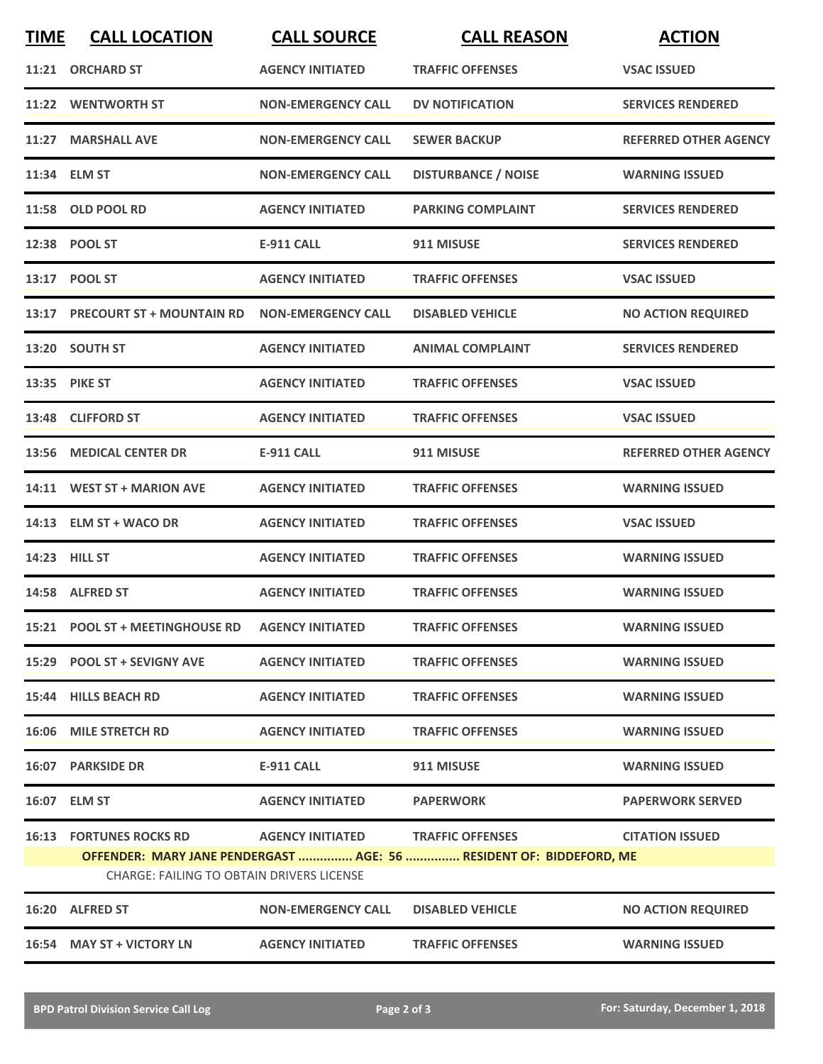| <b>TIME</b> | <b>CALL LOCATION</b>                             | <b>CALL SOURCE</b>                       | <b>CALL REASON</b>                                                  | <b>ACTION</b>                |
|-------------|--------------------------------------------------|------------------------------------------|---------------------------------------------------------------------|------------------------------|
|             | 11:21 ORCHARD ST                                 | <b>AGENCY INITIATED</b>                  | <b>TRAFFIC OFFENSES</b>                                             | <b>VSAC ISSUED</b>           |
|             | 11:22 WENTWORTH ST                               | <b>NON-EMERGENCY CALL</b>                | <b>DV NOTIFICATION</b>                                              | <b>SERVICES RENDERED</b>     |
|             | 11:27 MARSHALL AVE                               | <b>NON-EMERGENCY CALL</b>                | <b>SEWER BACKUP</b>                                                 | <b>REFERRED OTHER AGENCY</b> |
|             | 11:34 ELM ST                                     | <b>NON-EMERGENCY CALL</b>                | <b>DISTURBANCE / NOISE</b>                                          | <b>WARNING ISSUED</b>        |
|             | 11:58 OLD POOL RD                                | <b>AGENCY INITIATED</b>                  | <b>PARKING COMPLAINT</b>                                            | <b>SERVICES RENDERED</b>     |
|             | 12:38 POOL ST                                    | <b>E-911 CALL</b>                        | 911 MISUSE                                                          | <b>SERVICES RENDERED</b>     |
|             | 13:17 POOL ST                                    | <b>AGENCY INITIATED</b>                  | <b>TRAFFIC OFFENSES</b>                                             | <b>VSAC ISSUED</b>           |
|             | 13:17 PRECOURT ST + MOUNTAIN RD                  | <b>NON-EMERGENCY CALL</b>                | <b>DISABLED VEHICLE</b>                                             | <b>NO ACTION REQUIRED</b>    |
|             | 13:20 SOUTH ST                                   | <b>AGENCY INITIATED</b>                  | <b>ANIMAL COMPLAINT</b>                                             | <b>SERVICES RENDERED</b>     |
|             | 13:35 PIKE ST                                    | <b>AGENCY INITIATED</b>                  | <b>TRAFFIC OFFENSES</b>                                             | <b>VSAC ISSUED</b>           |
|             | 13:48 CLIFFORD ST                                | <b>AGENCY INITIATED</b>                  | <b>TRAFFIC OFFENSES</b>                                             | <b>VSAC ISSUED</b>           |
|             | 13:56 MEDICAL CENTER DR                          | <b>E-911 CALL</b>                        | 911 MISUSE                                                          | <b>REFERRED OTHER AGENCY</b> |
|             | 14:11 WEST ST + MARION AVE                       | <b>AGENCY INITIATED</b>                  | <b>TRAFFIC OFFENSES</b>                                             | <b>WARNING ISSUED</b>        |
|             | 14:13 ELM ST + WACO DR                           | <b>AGENCY INITIATED</b>                  | <b>TRAFFIC OFFENSES</b>                                             | <b>VSAC ISSUED</b>           |
|             | 14:23 HILL ST                                    | <b>AGENCY INITIATED</b>                  | <b>TRAFFIC OFFENSES</b>                                             | <b>WARNING ISSUED</b>        |
|             | 14:58 ALFRED ST                                  | <b>AGENCY INITIATED</b>                  | <b>TRAFFIC OFFENSES</b>                                             | <b>WARNING ISSUED</b>        |
|             | 15:21 POOL ST + MEETINGHOUSE RD AGENCY INITIATED |                                          | <b>TRAFFIC OFFENSES</b>                                             | <b>WARNING ISSUED</b>        |
|             | 15:29 POOL ST + SEVIGNY AVE                      | <b>AGENCY INITIATED</b>                  | <b>TRAFFIC OFFENSES</b>                                             | <b>WARNING ISSUED</b>        |
|             | 15:44 HILLS BEACH RD                             | <b>AGENCY INITIATED</b>                  | <b>TRAFFIC OFFENSES</b>                                             | <b>WARNING ISSUED</b>        |
|             | 16:06 MILE STRETCH RD                            | <b>AGENCY INITIATED</b>                  | <b>TRAFFIC OFFENSES</b>                                             | <b>WARNING ISSUED</b>        |
|             | 16:07 PARKSIDE DR                                | <b>E-911 CALL</b>                        | 911 MISUSE                                                          | <b>WARNING ISSUED</b>        |
|             | 16:07 ELM ST                                     | <b>AGENCY INITIATED</b>                  | <b>PAPERWORK</b>                                                    | <b>PAPERWORK SERVED</b>      |
|             | <b>16:13 FORTUNES ROCKS RD</b>                   | <b>AGENCY INITIATED TRAFFIC OFFENSES</b> |                                                                     | <b>CITATION ISSUED</b>       |
|             | <b>CHARGE: FAILING TO OBTAIN DRIVERS LICENSE</b> |                                          | OFFENDER: MARY JANE PENDERGAST  AGE: 56  RESIDENT OF: BIDDEFORD, ME |                              |
|             | 16:20 ALFRED ST                                  | <b>NON-EMERGENCY CALL</b>                | <b>DISABLED VEHICLE</b>                                             | <b>NO ACTION REQUIRED</b>    |
|             | 16:54 MAY ST + VICTORY LN                        | <b>AGENCY INITIATED</b>                  | <b>TRAFFIC OFFENSES</b>                                             | <b>WARNING ISSUED</b>        |